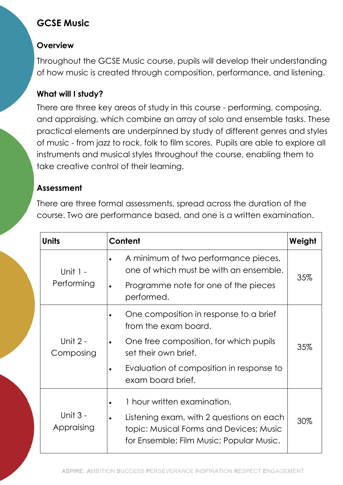# GCSE Music

### **Overview**

Throughout the GCSE Music course, pupils will develop their understanding of how music is created through composition, performance, and listening.

## What will I study?

There are three key areas of study in this course - performing, composing, and appraising, which combine an array of solo and ensemble tasks. These practical elements are underpinned by study of different genres and styles of music - from jazz to rock, folk to film scores. Pupils are able to explore all instruments and musical styles throughout the course, enabling them to take creative control of their learning.

#### Assessment

There are three formal assessments, spread across the duration of the course. Two are performance based, and one is a written examination.

| <b>Units</b>           | Content                                                                                                                                                                                           | Weight |
|------------------------|---------------------------------------------------------------------------------------------------------------------------------------------------------------------------------------------------|--------|
| Unit 1 -<br>Performing | A minimum of two performance pieces,<br>one of which must be with an ensemble.<br>Programme note for one of the pieces<br>$\bullet$<br>performed.                                                 | 35%    |
| Unit 2 -<br>Composing  | One composition in response to a brief<br>from the exam board.<br>One free composition, for which pupils<br>set their own brief.<br>Evaluation of composition in response to<br>exam board brief. | 35%    |
| Unit 3 -<br>Appraising | 1 hour written examination.<br>Listening exam, with 2 questions on each<br>topic: Musical Forms and Devices; Music<br>for Ensemble; Film Music; Popular Music.                                    | 30%    |